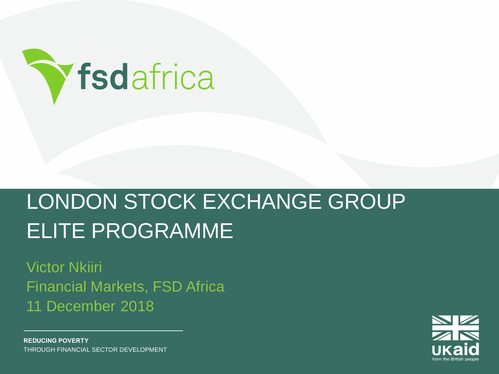

## LONDON STOCK EXCHANGE GROUP ELITE PROGRAMME

Victor Nkiiri Financial Markets, FSD Africa 11 December 2018



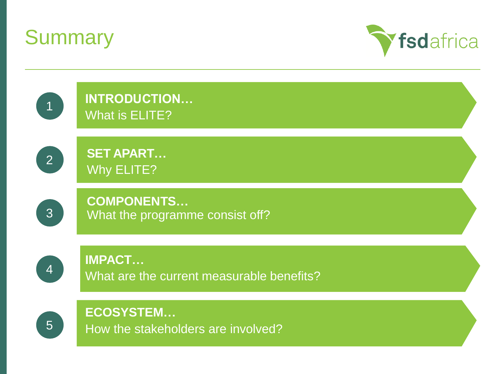



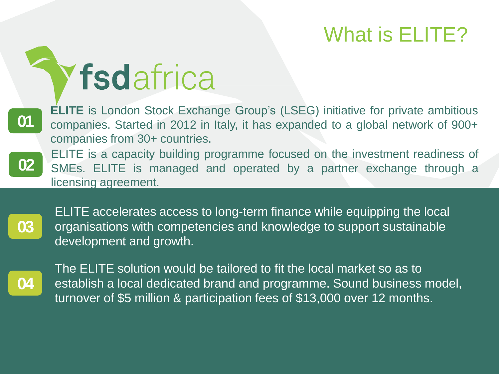### What is ELITE?

# Yfsdafrica

**ELITE** is London Stock Exchange Group's (LSEG) initiative for private ambitious companies. Started in 2012 in Italy, it has expanded to a global network of 900+ companies from 30+ countries.



**01**

ELITE is a capacity building programme focused on the investment readiness of SMEs. ELITE is managed and operated by a partner exchange through a licensing agreement.



ELITE accelerates access to long-term finance while equipping the local organisations with competencies and knowledge to support sustainable development and growth.



The ELITE solution would be tailored to fit the local market so as to establish a local dedicated brand and programme. Sound business model, turnover of \$5 million & participation fees of \$13,000 over 12 months.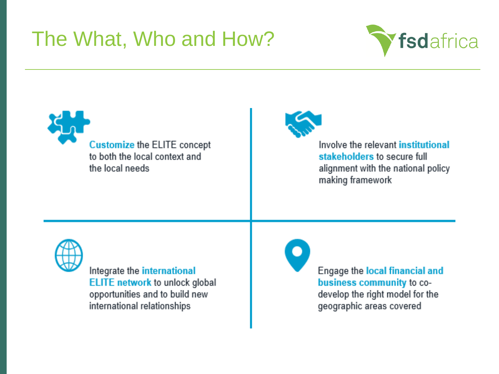### The What, Who and How?







**Derivative Markets**

Involve the relevant institutional stakeholders to secure full alignment with the national policy making framework



Integrate the international **ELITE network to unlock global** opportunities and to build new international relationships

Engage the local financial and business community to codevelop the right model for the geographic areas covered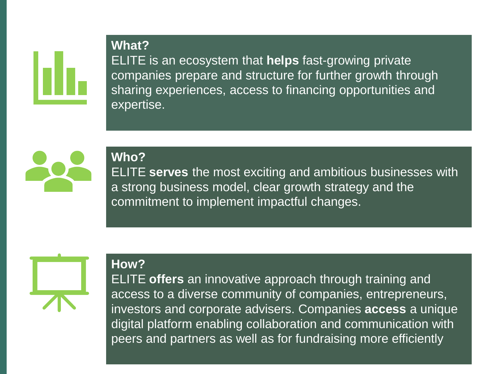

ELITE is an ecosystem that **helps** fast-growing private companies prepare and structure for further growth through sharing experiences, access to financing opportunities and expertise.



**Who?**

**How?**

**What?**

ELITE **serves** the most exciting and ambitious businesses with a strong business model, clear growth strategy and the commitment to implement impactful changes.



ELITE **offers** an innovative approach through training and access to a diverse community of companies, entrepreneurs, investors and corporate advisers. Companies **access** a unique digital platform enabling collaboration and communication with peers and partners as well as for fundraising more efficiently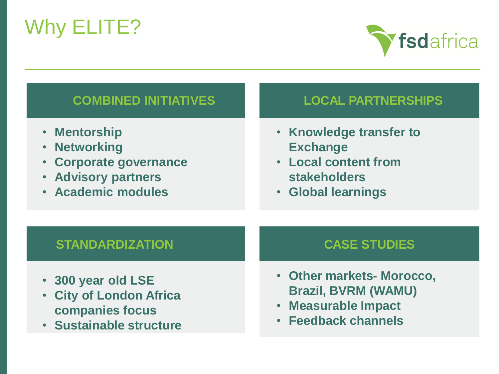## Why ELITE?



#### **COMBINED INITIATIVES**

- **Mentorship**
- **Networking**
- **Corporate governance**
- **Advisory partners**
- **Academic modules**

#### **LOCAL PARTNERSHIPS**

- **Knowledge transfer to Exchange**
- **Local content from stakeholders**
- **Global learnings**

#### **STANDARDIZATION**

- **300 year old LSE**
- **City of London Africa companies focus**
- **Sustainable structure**

#### **CASE STUDIES**

- **Other markets- Morocco, Brazil, BVRM (WAMU)**
- **Measurable Impact**
- **Feedback channels**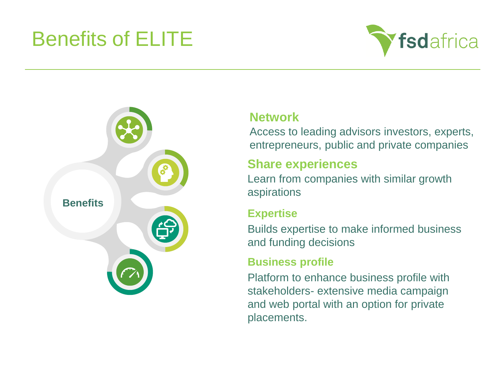### Benefits of ELITE





#### **Network**

Access to leading advisors investors, experts, entrepreneurs, public and private companies

#### **Share experiences**

Learn from companies with similar growth aspirations

#### **Expertise**

Builds expertise to make informed business and funding decisions

#### **Business profile**

Platform to enhance business profile with stakeholders- extensive media campaign and web portal with an option for private placements.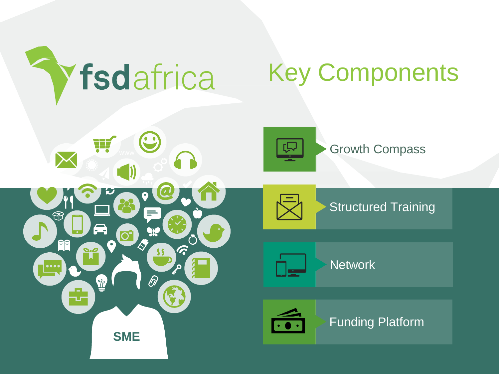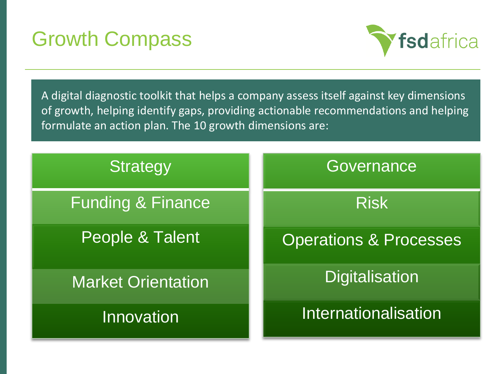### Growth Compass



A digital diagnostic toolkit that helps a company assess itself against key dimensions of growth, helping identify gaps, providing actionable recommendations and helping formulate an action plan. The 10 growth dimensions are:

| <b>Strategy</b>              | Governance                        |
|------------------------------|-----------------------------------|
| <b>Funding &amp; Finance</b> | <b>Risk</b>                       |
| People & Talent              | <b>Operations &amp; Processes</b> |
| <b>Market Orientation</b>    | <b>Digitalisation</b>             |
| Innovation                   | Internationalisation              |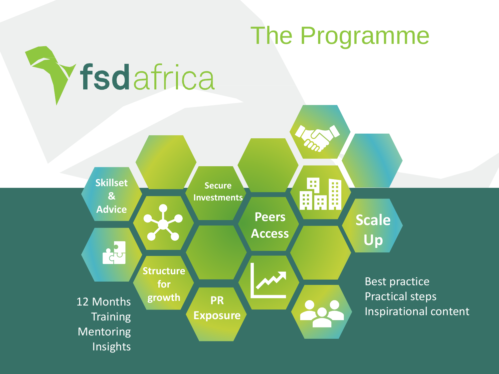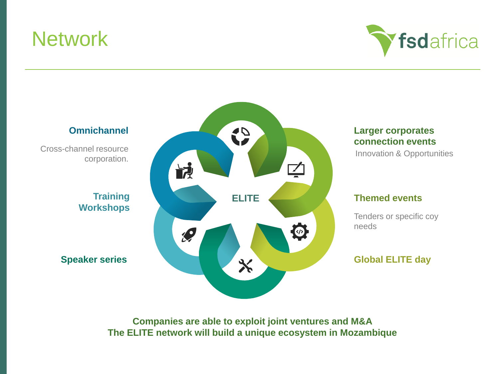### **Network**





**Companies are able to exploit joint ventures and M&A The ELITE network will build a unique ecosystem in Mozambique**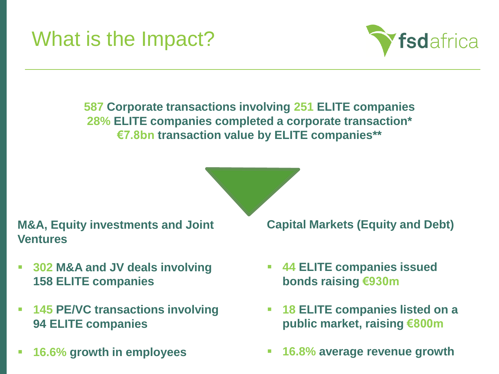### What is the Impact?



**587 Corporate transactions involving 251 ELITE companies 28% ELITE companies completed a corporate transaction\* €7.8bn transaction value by ELITE companies\*\*** 



**M&A, Equity investments and Joint Ventures** 

- **302 M&A and JV deals involving 158 ELITE companies**
- **145 PE/VC transactions involving 94 ELITE companies**
- **16.6% growth in employees**

**Capital Markets (Equity and Debt)** 

- **44 ELITE companies issued bonds raising €930m**
- **18 ELITE companies listed on a public market, raising €800m**
- **16.8% average revenue growth**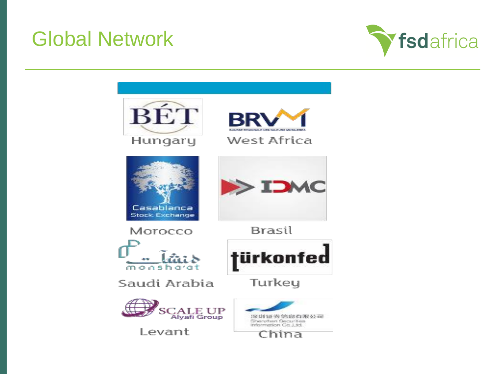### Global Network



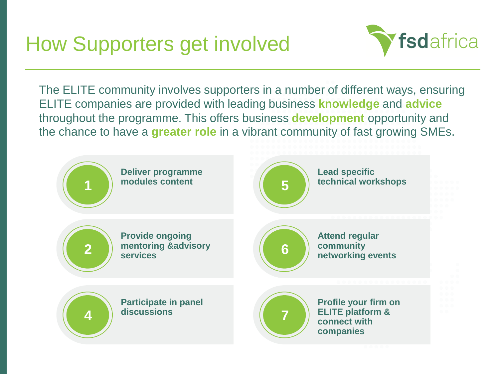### How Supporters get involved



The ELITE community involves supporters in a number of different ways, ensuring ELITE companies are provided with leading business **knowledge** and **advice** throughout the programme. This offers business **development** opportunity and the chance to have a **greater role** in a vibrant community of fast growing SMEs.